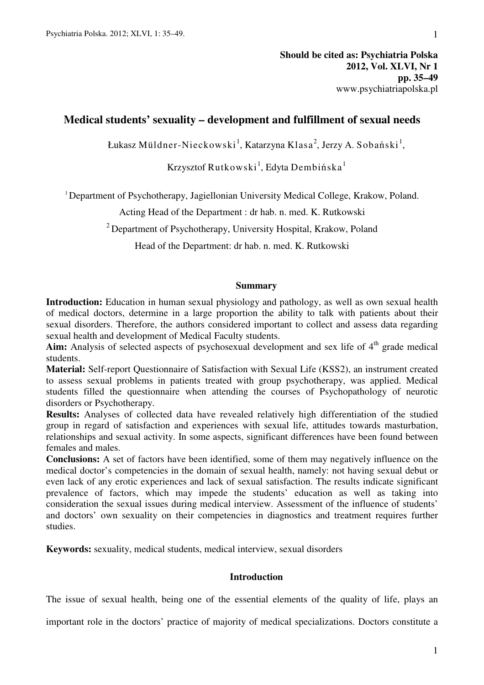# **Medical students' sexuality – development and fulfillment of sexual needs**

Łukasz Müldner-Nieckowski $^1$ , Katarzyna Klasa $^2$ , Jerzy A. Sobański $^1,$ 

Krzysztof Rutkowski $^{\rm l}$ , Edyta Dembińska $^{\rm l}$ 

<sup>1</sup> Department of Psychotherapy, Jagiellonian University Medical College, Krakow, Poland.

Acting Head of the Department : dr hab. n. med. K. Rutkowski

 $2^2$  Department of Psychotherapy, University Hospital, Krakow, Poland

Head of the Department: dr hab. n. med. K. Rutkowski

# **Summary**

**Introduction:** Education in human sexual physiology and pathology, as well as own sexual health of medical doctors, determine in a large proportion the ability to talk with patients about their sexual disorders. Therefore, the authors considered important to collect and assess data regarding sexual health and development of Medical Faculty students.

Aim: Analysis of selected aspects of psychosexual development and sex life of 4<sup>th</sup> grade medical students.

**Material:** Self-report Questionnaire of Satisfaction with Sexual Life (KSS2), an instrument created to assess sexual problems in patients treated with group psychotherapy, was applied. Medical students filled the questionnaire when attending the courses of Psychopathology of neurotic disorders or Psychotherapy.

**Results:** Analyses of collected data have revealed relatively high differentiation of the studied group in regard of satisfaction and experiences with sexual life, attitudes towards masturbation, relationships and sexual activity. In some aspects, significant differences have been found between females and males.

**Conclusions:** A set of factors have been identified, some of them may negatively influence on the medical doctor's competencies in the domain of sexual health, namely: not having sexual debut or even lack of any erotic experiences and lack of sexual satisfaction. The results indicate significant prevalence of factors, which may impede the students' education as well as taking into consideration the sexual issues during medical interview. Assessment of the influence of students' and doctors' own sexuality on their competencies in diagnostics and treatment requires further studies.

**Keywords:** sexuality, medical students, medical interview, sexual disorders

# **Introduction**

The issue of sexual health, being one of the essential elements of the quality of life, plays an

important role in the doctors' practice of majority of medical specializations. Doctors constitute a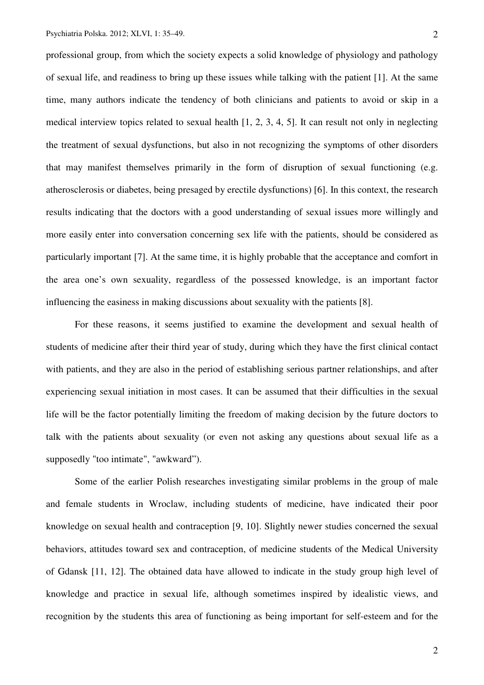professional group, from which the society expects a solid knowledge of physiology and pathology of sexual life, and readiness to bring up these issues while talking with the patient [1]. At the same time, many authors indicate the tendency of both clinicians and patients to avoid or skip in a medical interview topics related to sexual health [1, 2, 3, 4, 5]. It can result not only in neglecting the treatment of sexual dysfunctions, but also in not recognizing the symptoms of other disorders that may manifest themselves primarily in the form of disruption of sexual functioning (e.g. atherosclerosis or diabetes, being presaged by erectile dysfunctions) [6]. In this context, the research results indicating that the doctors with a good understanding of sexual issues more willingly and more easily enter into conversation concerning sex life with the patients, should be considered as particularly important [7]. At the same time, it is highly probable that the acceptance and comfort in the area one's own sexuality, regardless of the possessed knowledge, is an important factor influencing the easiness in making discussions about sexuality with the patients [8].

For these reasons, it seems justified to examine the development and sexual health of students of medicine after their third year of study, during which they have the first clinical contact with patients, and they are also in the period of establishing serious partner relationships, and after experiencing sexual initiation in most cases. It can be assumed that their difficulties in the sexual life will be the factor potentially limiting the freedom of making decision by the future doctors to talk with the patients about sexuality (or even not asking any questions about sexual life as a supposedly "too intimate", "awkward").

Some of the earlier Polish researches investigating similar problems in the group of male and female students in Wroclaw, including students of medicine, have indicated their poor knowledge on sexual health and contraception [9, 10]. Slightly newer studies concerned the sexual behaviors, attitudes toward sex and contraception, of medicine students of the Medical University of Gdansk [11, 12]. The obtained data have allowed to indicate in the study group high level of knowledge and practice in sexual life, although sometimes inspired by idealistic views, and recognition by the students this area of functioning as being important for self-esteem and for the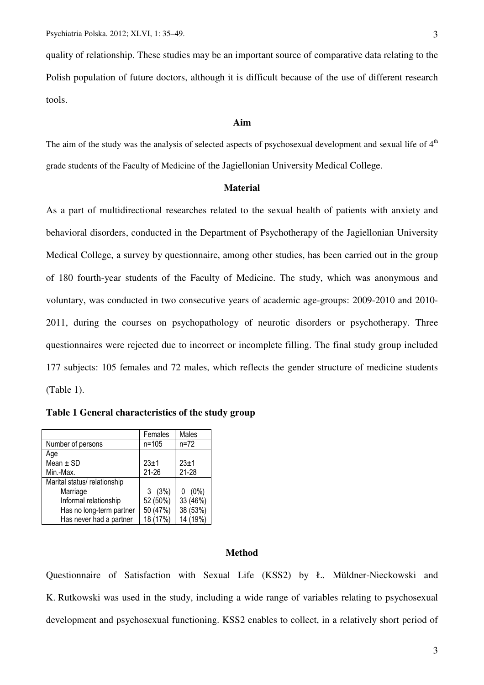quality of relationship. These studies may be an important source of comparative data relating to the Polish population of future doctors, although it is difficult because of the use of different research tools.

# **Aim**

The aim of the study was the analysis of selected aspects of psychosexual development and sexual life of  $4<sup>th</sup>$ grade students of the Faculty of Medicine of the Jagiellonian University Medical College.

### **Material**

As a part of multidirectional researches related to the sexual health of patients with anxiety and behavioral disorders, conducted in the Department of Psychotherapy of the Jagiellonian University Medical College, a survey by questionnaire, among other studies, has been carried out in the group of 180 fourth-year students of the Faculty of Medicine. The study, which was anonymous and voluntary, was conducted in two consecutive years of academic age-groups: 2009-2010 and 2010- 2011, during the courses on psychopathology of neurotic disorders or psychotherapy. Three questionnaires were rejected due to incorrect or incomplete filling. The final study group included 177 subjects: 105 females and 72 males, which reflects the gender structure of medicine students (Table 1).

|  | Table 1 General characteristics of the study group |  |  |  |
|--|----------------------------------------------------|--|--|--|
|--|----------------------------------------------------|--|--|--|

|                              | Females   | Males     |
|------------------------------|-----------|-----------|
| Number of persons            | $n = 105$ | $n = 72$  |
| Age                          |           |           |
| Mean $\pm$ SD                | $23 + 1$  | $23 + 1$  |
| Min.-Max.                    | $21 - 26$ | $21 - 28$ |
| Marital status/ relationship |           |           |
| Marriage                     | 3(3%)     | $0(0\%)$  |
| Informal relationship        | 52 (50%)  | 33 (46%)  |
| Has no long-term partner     | 50 (47%)  | 38 (53%)  |
| Has never had a partner      | 18 (17%)  | 14 (19%)  |

### **Method**

Questionnaire of Satisfaction with Sexual Life (KSS2) by Ł. Müldner-Nieckowski and K. Rutkowski was used in the study, including a wide range of variables relating to psychosexual development and psychosexual functioning. KSS2 enables to collect, in a relatively short period of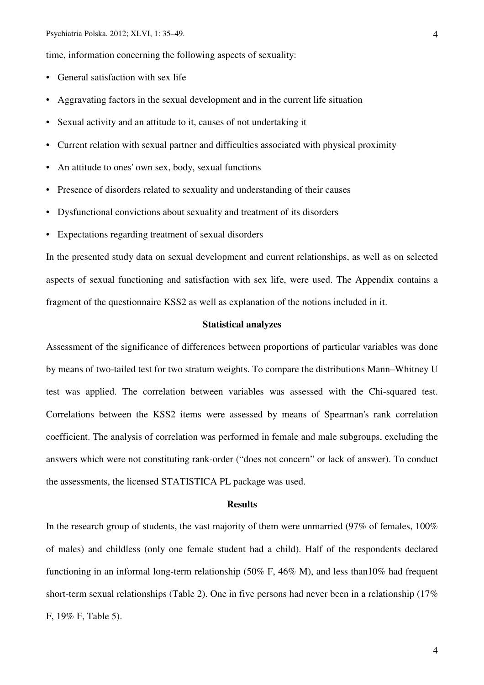time, information concerning the following aspects of sexuality:

- General satisfaction with sex life
- Aggravating factors in the sexual development and in the current life situation
- Sexual activity and an attitude to it, causes of not undertaking it
- Current relation with sexual partner and difficulties associated with physical proximity
- An attitude to ones' own sex, body, sexual functions
- Presence of disorders related to sexuality and understanding of their causes
- Dysfunctional convictions about sexuality and treatment of its disorders
- Expectations regarding treatment of sexual disorders

In the presented study data on sexual development and current relationships, as well as on selected aspects of sexual functioning and satisfaction with sex life, were used. The Appendix contains a fragment of the questionnaire KSS2 as well as explanation of the notions included in it.

# **Statistical analyzes**

Assessment of the significance of differences between proportions of particular variables was done by means of two-tailed test for two stratum weights. To compare the distributions Mann–Whitney U test was applied. The correlation between variables was assessed with the Chi-squared test. Correlations between the KSS2 items were assessed by means of Spearman's rank correlation coefficient. The analysis of correlation was performed in female and male subgroups, excluding the answers which were not constituting rank-order ("does not concern" or lack of answer). To conduct the assessments, the licensed STATISTICA PL package was used.

### **Results**

In the research group of students, the vast majority of them were unmarried (97% of females, 100% of males) and childless (only one female student had a child). Half of the respondents declared functioning in an informal long-term relationship (50% F, 46% M), and less than10% had frequent short-term sexual relationships (Table 2). One in five persons had never been in a relationship (17% F, 19% F, Table 5).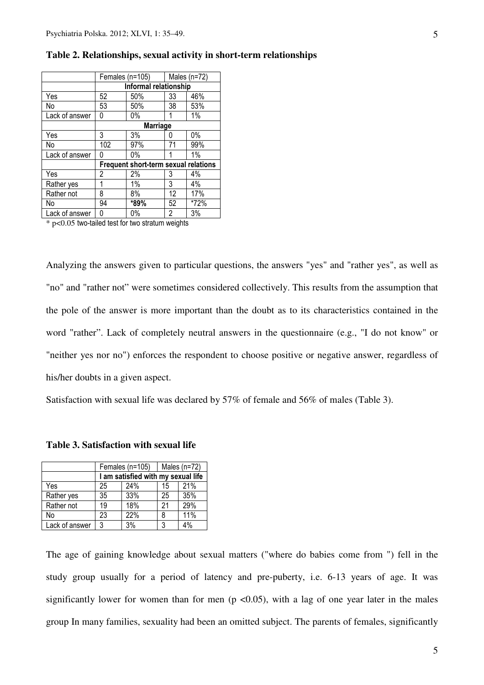|                | Females (n=105)                      |       | Males $(n=72)$ |      |
|----------------|--------------------------------------|-------|----------------|------|
|                | Informal relationship                |       |                |      |
| Yes            | 52                                   | 50%   | 33             | 46%  |
| No             | 53                                   | 50%   | 38             | 53%  |
| Lack of answer | 0                                    | $0\%$ |                | 1%   |
|                | <b>Marriage</b>                      |       |                |      |
| Yes            | 3                                    | 3%    | 0              | 0%   |
| No             | 102                                  | 97%   | 71             | 99%  |
| Lack of answer | 0                                    | $0\%$ |                | 1%   |
|                | Frequent short-term sexual relations |       |                |      |
| Yes            | 2                                    | 2%    | 3              | 4%   |
| Rather yes     |                                      | 1%    | 3              | 4%   |
| Rather not     | 8                                    | 8%    | 12             | 17%  |
| No             | 94                                   | *89%  | 52             | *72% |
| Lack of answer | 0                                    | 0%    | 2              | 3%   |

# **Table 2. Relationships, sexual activity in short-term relationships**

 $*$  p<0.05 two-tailed test for two stratum weights

Analyzing the answers given to particular questions, the answers "yes" and "rather yes", as well as "no" and "rather not" were sometimes considered collectively. This results from the assumption that the pole of the answer is more important than the doubt as to its characteristics contained in the word "rather". Lack of completely neutral answers in the questionnaire (e.g., "I do not know" or "neither yes nor no") enforces the respondent to choose positive or negative answer, regardless of his/her doubts in a given aspect.

Satisfaction with sexual life was declared by 57% of female and 56% of males (Table 3).

|                | Females (n=105)                    |     | Males $(n=72)$ |     |
|----------------|------------------------------------|-----|----------------|-----|
|                | I am satisfied with my sexual life |     |                |     |
| Yes            | 25                                 | 24% | 15             | 21% |
| Rather yes     | 35                                 | 33% | 25             | 35% |
| Rather not     | 19                                 | 18% | 21             | 29% |
| No             | 23                                 | 22% | 8              | 11% |
| Lack of answer | 3                                  | 3%  | 3              | 4%  |

#### **Table 3. Satisfaction with sexual life**

The age of gaining knowledge about sexual matters ("where do babies come from ") fell in the study group usually for a period of latency and pre-puberty, i.e. 6-13 years of age. It was significantly lower for women than for men ( $p \le 0.05$ ), with a lag of one year later in the males group In many families, sexuality had been an omitted subject. The parents of females, significantly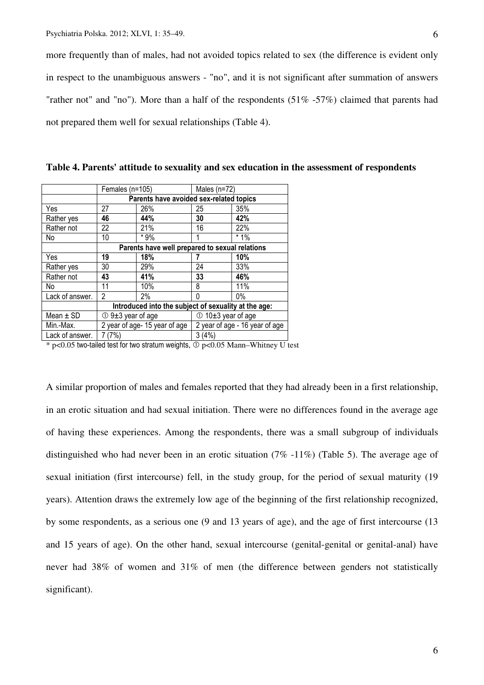more frequently than of males, had not avoided topics related to sex (the difference is evident only in respect to the unambiguous answers - "no", and it is not significant after summation of answers "rather not" and "no"). More than a half of the respondents (51% -57%) claimed that parents had not prepared them well for sexual relationships (Table 4).

|                 | Females (n=105)                                      |                                                | Males $(n=72)$                 |       |  |
|-----------------|------------------------------------------------------|------------------------------------------------|--------------------------------|-------|--|
|                 | Parents have avoided sex-related topics              |                                                |                                |       |  |
| Yes             | 27                                                   | 26%                                            | 25                             | 35%   |  |
| Rather yes      | 46                                                   | 44%                                            | 30                             | 42%   |  |
| Rather not      | 22                                                   | 21%                                            | 16                             | 22%   |  |
| No              | 10                                                   | * 9%                                           |                                | $*1%$ |  |
|                 |                                                      | Parents have well prepared to sexual relations |                                |       |  |
| Yes             | 19                                                   | 18%                                            |                                | 10%   |  |
| Rather yes      | 30                                                   | 29%                                            | 24                             | 33%   |  |
| Rather not      | 43                                                   | 41%                                            | 33                             | 46%   |  |
| No              | 11                                                   | 10%                                            | 8                              | 11%   |  |
| Lack of answer. | 2                                                    | $2\%$                                          | N                              | $0\%$ |  |
|                 | Introduced into the subject of sexuality at the age: |                                                |                                |       |  |
| Mean $\pm$ SD   | $\circled{1}$ 9±3 year of age                        |                                                | $\circled{10+3}$ year of age   |       |  |
| Min.-Max.       | 2 year of age-15 year of age                         |                                                | 2 year of age - 16 year of age |       |  |
| Lack of answer. | (7%)                                                 |                                                | 3(4%)                          |       |  |

**Table 4. Parents' attitude to sexuality and sex education in the assessment of respondents** 

 $*$  p<0.05 two-tailed test for two stratum weights,  $\Phi$  p<0.05 Mann–Whitney U test

A similar proportion of males and females reported that they had already been in a first relationship, in an erotic situation and had sexual initiation. There were no differences found in the average age of having these experiences. Among the respondents, there was a small subgroup of individuals distinguished who had never been in an erotic situation (7% -11%) (Table 5). The average age of sexual initiation (first intercourse) fell, in the study group, for the period of sexual maturity (19 years). Attention draws the extremely low age of the beginning of the first relationship recognized, by some respondents, as a serious one (9 and 13 years of age), and the age of first intercourse (13 and 15 years of age). On the other hand, sexual intercourse (genital-genital or genital-anal) have never had 38% of women and 31% of men (the difference between genders not statistically significant).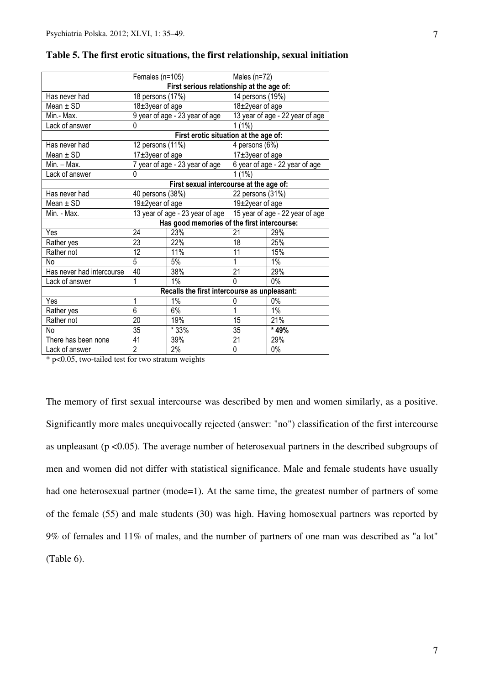| Females (n=105)                              |                                                          | Males $(n=72)$                                                                                                                                                                                                                                 |                                                                                                                                                                                                                           |  |
|----------------------------------------------|----------------------------------------------------------|------------------------------------------------------------------------------------------------------------------------------------------------------------------------------------------------------------------------------------------------|---------------------------------------------------------------------------------------------------------------------------------------------------------------------------------------------------------------------------|--|
|                                              |                                                          |                                                                                                                                                                                                                                                |                                                                                                                                                                                                                           |  |
|                                              |                                                          | 14 persons (19%)                                                                                                                                                                                                                               |                                                                                                                                                                                                                           |  |
|                                              |                                                          |                                                                                                                                                                                                                                                |                                                                                                                                                                                                                           |  |
|                                              |                                                          |                                                                                                                                                                                                                                                | 13 year of age - 22 year of age                                                                                                                                                                                           |  |
|                                              |                                                          | $1(1\%)$                                                                                                                                                                                                                                       |                                                                                                                                                                                                                           |  |
|                                              |                                                          |                                                                                                                                                                                                                                                |                                                                                                                                                                                                                           |  |
|                                              |                                                          |                                                                                                                                                                                                                                                | $\overline{4}$ persons (6%)                                                                                                                                                                                               |  |
|                                              |                                                          |                                                                                                                                                                                                                                                |                                                                                                                                                                                                                           |  |
|                                              |                                                          |                                                                                                                                                                                                                                                | 6 year of age - 22 year of age                                                                                                                                                                                            |  |
| 0                                            |                                                          | 1(1%)                                                                                                                                                                                                                                          |                                                                                                                                                                                                                           |  |
| First sexual intercourse at the age of:      |                                                          |                                                                                                                                                                                                                                                |                                                                                                                                                                                                                           |  |
|                                              |                                                          | 22 persons (31%)                                                                                                                                                                                                                               |                                                                                                                                                                                                                           |  |
|                                              |                                                          | 19±2year of age                                                                                                                                                                                                                                |                                                                                                                                                                                                                           |  |
|                                              |                                                          |                                                                                                                                                                                                                                                |                                                                                                                                                                                                                           |  |
| Has good memories of the first intercourse:  |                                                          |                                                                                                                                                                                                                                                |                                                                                                                                                                                                                           |  |
| 24                                           |                                                          | 21                                                                                                                                                                                                                                             | 29%                                                                                                                                                                                                                       |  |
| 23                                           | 22%                                                      | 18                                                                                                                                                                                                                                             | 25%                                                                                                                                                                                                                       |  |
| 12                                           | 11%                                                      | 11                                                                                                                                                                                                                                             | 15%                                                                                                                                                                                                                       |  |
| 5                                            | 5%                                                       | 1                                                                                                                                                                                                                                              | 1%                                                                                                                                                                                                                        |  |
|                                              |                                                          |                                                                                                                                                                                                                                                | 29%                                                                                                                                                                                                                       |  |
| 1                                            |                                                          | $\mathbf{0}$                                                                                                                                                                                                                                   | 0%                                                                                                                                                                                                                        |  |
| Recalls the first intercourse as unpleasant: |                                                          |                                                                                                                                                                                                                                                |                                                                                                                                                                                                                           |  |
| 1                                            | $1\%$                                                    | 0                                                                                                                                                                                                                                              | $0\%$                                                                                                                                                                                                                     |  |
|                                              |                                                          | 1                                                                                                                                                                                                                                              | $1\%$                                                                                                                                                                                                                     |  |
| 20                                           | 19%                                                      | 15                                                                                                                                                                                                                                             | 21%                                                                                                                                                                                                                       |  |
| 35                                           |                                                          | 35                                                                                                                                                                                                                                             | * 49%                                                                                                                                                                                                                     |  |
| 41                                           | 39%                                                      | 21                                                                                                                                                                                                                                             | 29%                                                                                                                                                                                                                       |  |
|                                              | $2\%$                                                    | 0                                                                                                                                                                                                                                              | $0\%$                                                                                                                                                                                                                     |  |
|                                              | $\overline{0}$<br>40<br>$\overline{6}$<br>$\overline{2}$ | 18 persons (17%)<br>18±3year of age<br>9 year of age - 23 year of age<br>12 persons (11%)<br>17±3year of age<br>7 year of age - 23 year of age<br>40 persons (38%)<br>$\overline{19} \pm 2$ year of age<br>23%<br>38%<br>$1\%$<br>6%<br>$*33%$ | First serious relationship at the age of:<br>$18\pm 2$ year of age<br>First erotic situation at the age of:<br>$17±3$ year of age<br>13 year of age - 23 year of age   15 year of age - 22 year of age<br>$\overline{21}$ |  |

# **Table 5. The first erotic situations, the first relationship, sexual initiation**

\* p<0.05, two-tailed test for two stratum weights

The memory of first sexual intercourse was described by men and women similarly, as a positive. Significantly more males unequivocally rejected (answer: "no") classification of the first intercourse as unpleasant (p <0.05). The average number of heterosexual partners in the described subgroups of men and women did not differ with statistical significance. Male and female students have usually had one heterosexual partner (mode=1). At the same time, the greatest number of partners of some of the female (55) and male students (30) was high. Having homosexual partners was reported by 9% of females and 11% of males, and the number of partners of one man was described as "a lot" (Table 6).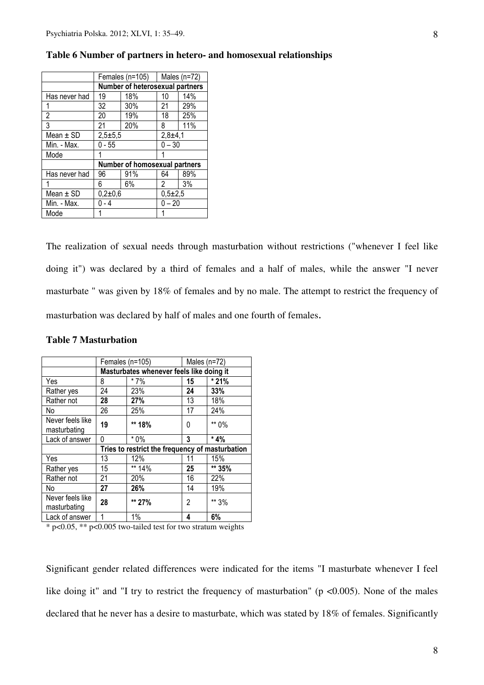|               | Females (n=105) $\parallel$     |     | Males $(n=72)$ |     |
|---------------|---------------------------------|-----|----------------|-----|
|               | Number of heterosexual partners |     |                |     |
| Has never had | 18%<br>19                       |     | 10             | 14% |
|               | 32                              | 30% | 21             | 29% |
| 2             | 20                              | 19% | 18             | 25% |
| 3             | 21                              | 20% | 8              | 11% |
| Mean $\pm$ SD | $2,5+5,5$                       |     | $2,8+4,1$      |     |
| Min. - Max.   | $0 - 55$                        |     | $0 - 30$       |     |
| Mode          |                                 |     |                |     |
|               | Number of homosexual partners   |     |                |     |
| Has never had | 96                              | 91% | 64             | 89% |
|               | 6                               | 6%  | 2              | 3%  |
| Mean $\pm$ SD | $0,2+0,6$                       |     | $0,5+2,5$      |     |
| Min. - Max.   | - 4                             |     | $0 - 20$       |     |
| Mode          |                                 |     |                |     |

### **Table 6 Number of partners in hetero- and homosexual relationships**

The realization of sexual needs through masturbation without restrictions ("whenever I feel like doing it") was declared by a third of females and a half of males, while the answer "I never masturbate " was given by 18% of females and by no male. The attempt to restrict the frequency of masturbation was declared by half of males and one fourth of females.

|                                  | Females (n=105)                                 |        | Males $(n=72)$ |         |  |
|----------------------------------|-------------------------------------------------|--------|----------------|---------|--|
|                                  | Masturbates whenever feels like doing it        |        |                |         |  |
| Yes                              | 8                                               | $*7\%$ | 15             | * 21%   |  |
| Rather yes                       | 24                                              | 23%    | 24             | 33%     |  |
| Rather not                       | 28                                              | 27%    | 13             | 18%     |  |
| No                               | 26                                              | 25%    | 17             | 24%     |  |
| Never feels like<br>masturbating | 19                                              | ** 18% | 0              | ** 0%   |  |
| Lack of answer                   | 0                                               | $*0\%$ | 3              | $*4%$   |  |
|                                  | Tries to restrict the frequency of masturbation |        |                |         |  |
| Yes                              | 13                                              | 12%    | 11             | 15%     |  |
| Rather yes                       | 15                                              | ** 14% | 25             | $*$ 35% |  |
| Rather not                       | 21                                              | 20%    | 16             | 22%     |  |
| No                               | 27                                              | 26%    | 14             | 19%     |  |
| Never feels like<br>masturbating | 28                                              | ** 27% | 2              | ** 3%   |  |
| Lack of answer                   | 1                                               | 1%     | 4              | 6%      |  |

# **Table 7 Masturbation**

\* p<0.05, \*\* p<0.005 two-tailed test for two stratum weights

Significant gender related differences were indicated for the items "I masturbate whenever I feel like doing it" and "I try to restrict the frequency of masturbation" ( $p \le 0.005$ ). None of the males declared that he never has a desire to masturbate, which was stated by 18% of females. Significantly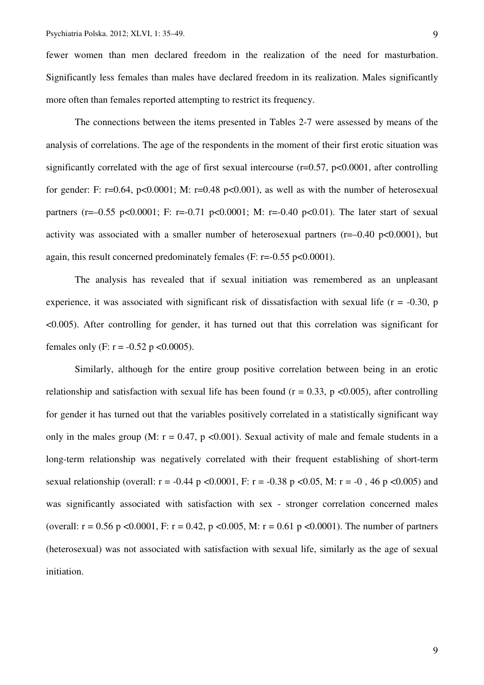fewer women than men declared freedom in the realization of the need for masturbation. Significantly less females than males have declared freedom in its realization. Males significantly more often than females reported attempting to restrict its frequency.

The connections between the items presented in Tables 2-7 were assessed by means of the analysis of correlations. The age of the respondents in the moment of their first erotic situation was significantly correlated with the age of first sexual intercourse  $(r=0.57, p<0.0001,$  after controlling for gender: F: r=0.64, p<0.0001; M: r=0.48 p<0.001), as well as with the number of heterosexual partners (r=-0.55 p<0.0001; F: r=-0.71 p<0.0001; M: r=-0.40 p<0.01). The later start of sexual activity was associated with a smaller number of heterosexual partners ( $r=-0.40$  p $<0.0001$ ), but again, this result concerned predominately females (F:  $r = -0.55$  p<0.0001).

The analysis has revealed that if sexual initiation was remembered as an unpleasant experience, it was associated with significant risk of dissatisfaction with sexual life  $(r = -0.30, p$ <0.005). After controlling for gender, it has turned out that this correlation was significant for females only (F:  $r = -0.52$  p <0.0005).

Similarly, although for the entire group positive correlation between being in an erotic relationship and satisfaction with sexual life has been found ( $r = 0.33$ , p <0.005), after controlling for gender it has turned out that the variables positively correlated in a statistically significant way only in the males group (M:  $r = 0.47$ , p <0.001). Sexual activity of male and female students in a long-term relationship was negatively correlated with their frequent establishing of short-term sexual relationship (overall:  $r = -0.44$  p <0.0001, F:  $r = -0.38$  p <0.05, M:  $r = -0$ , 46 p <0.005) and was significantly associated with satisfaction with sex - stronger correlation concerned males (overall:  $r = 0.56$  p <0.0001, F:  $r = 0.42$ , p <0.005, M:  $r = 0.61$  p <0.0001). The number of partners (heterosexual) was not associated with satisfaction with sexual life, similarly as the age of sexual initiation.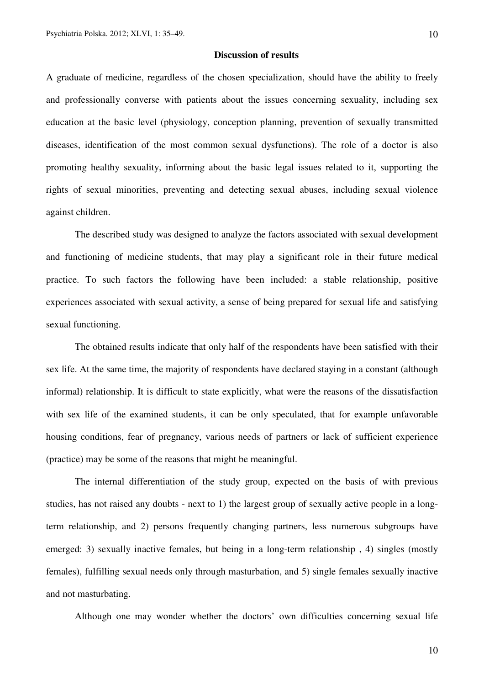### **Discussion of results**

A graduate of medicine, regardless of the chosen specialization, should have the ability to freely and professionally converse with patients about the issues concerning sexuality, including sex education at the basic level (physiology, conception planning, prevention of sexually transmitted diseases, identification of the most common sexual dysfunctions). The role of a doctor is also promoting healthy sexuality, informing about the basic legal issues related to it, supporting the rights of sexual minorities, preventing and detecting sexual abuses, including sexual violence against children.

The described study was designed to analyze the factors associated with sexual development and functioning of medicine students, that may play a significant role in their future medical practice. To such factors the following have been included: a stable relationship, positive experiences associated with sexual activity, a sense of being prepared for sexual life and satisfying sexual functioning.

The obtained results indicate that only half of the respondents have been satisfied with their sex life. At the same time, the majority of respondents have declared staying in a constant (although informal) relationship. It is difficult to state explicitly, what were the reasons of the dissatisfaction with sex life of the examined students, it can be only speculated, that for example unfavorable housing conditions, fear of pregnancy, various needs of partners or lack of sufficient experience (practice) may be some of the reasons that might be meaningful.

The internal differentiation of the study group, expected on the basis of with previous studies, has not raised any doubts - next to 1) the largest group of sexually active people in a longterm relationship, and 2) persons frequently changing partners, less numerous subgroups have emerged: 3) sexually inactive females, but being in a long-term relationship , 4) singles (mostly females), fulfilling sexual needs only through masturbation, and 5) single females sexually inactive and not masturbating.

Although one may wonder whether the doctors' own difficulties concerning sexual life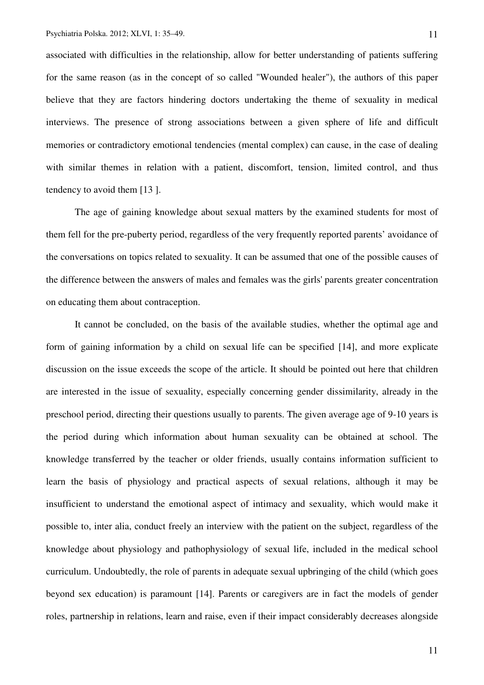associated with difficulties in the relationship, allow for better understanding of patients suffering for the same reason (as in the concept of so called "Wounded healer"), the authors of this paper believe that they are factors hindering doctors undertaking the theme of sexuality in medical interviews. The presence of strong associations between a given sphere of life and difficult memories or contradictory emotional tendencies (mental complex) can cause, in the case of dealing with similar themes in relation with a patient, discomfort, tension, limited control, and thus tendency to avoid them [13 ].

The age of gaining knowledge about sexual matters by the examined students for most of them fell for the pre-puberty period, regardless of the very frequently reported parents' avoidance of the conversations on topics related to sexuality. It can be assumed that one of the possible causes of the difference between the answers of males and females was the girls' parents greater concentration on educating them about contraception.

It cannot be concluded, on the basis of the available studies, whether the optimal age and form of gaining information by a child on sexual life can be specified [14], and more explicate discussion on the issue exceeds the scope of the article. It should be pointed out here that children are interested in the issue of sexuality, especially concerning gender dissimilarity, already in the preschool period, directing their questions usually to parents. The given average age of 9-10 years is the period during which information about human sexuality can be obtained at school. The knowledge transferred by the teacher or older friends, usually contains information sufficient to learn the basis of physiology and practical aspects of sexual relations, although it may be insufficient to understand the emotional aspect of intimacy and sexuality, which would make it possible to, inter alia, conduct freely an interview with the patient on the subject, regardless of the knowledge about physiology and pathophysiology of sexual life, included in the medical school curriculum. Undoubtedly, the role of parents in adequate sexual upbringing of the child (which goes beyond sex education) is paramount [14]. Parents or caregivers are in fact the models of gender roles, partnership in relations, learn and raise, even if their impact considerably decreases alongside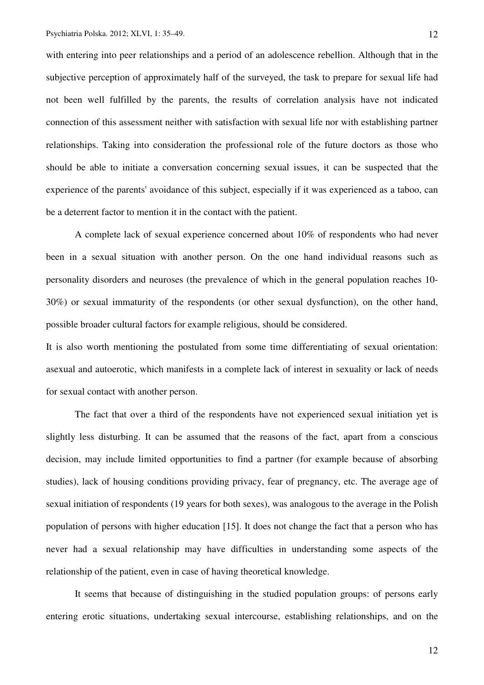with entering into peer relationships and a period of an adolescence rebellion. Although that in the subjective perception of approximately half of the surveyed, the task to prepare for sexual life had not been well fulfilled by the parents, the results of correlation analysis have not indicated connection of this assessment neither with satisfaction with sexual life nor with establishing partner relationships. Taking into consideration the professional role of the future doctors as those who should be able to initiate a conversation concerning sexual issues, it can be suspected that the experience of the parents' avoidance of this subject, especially if it was experienced as a taboo, can be a deterrent factor to mention it in the contact with the patient.

A complete lack of sexual experience concerned about 10% of respondents who had never been in a sexual situation with another person. On the one hand individual reasons such as personality disorders and neuroses (the prevalence of which in the general population reaches 10- 30%) or sexual immaturity of the respondents (or other sexual dysfunction), on the other hand, possible broader cultural factors for example religious, should be considered.

It is also worth mentioning the postulated from some time differentiating of sexual orientation: asexual and autoerotic, which manifests in a complete lack of interest in sexuality or lack of needs for sexual contact with another person.

The fact that over a third of the respondents have not experienced sexual initiation yet is slightly less disturbing. It can be assumed that the reasons of the fact, apart from a conscious decision, may include limited opportunities to find a partner (for example because of absorbing studies), lack of housing conditions providing privacy, fear of pregnancy, etc. The average age of sexual initiation of respondents (19 years for both sexes), was analogous to the average in the Polish population of persons with higher education [15]. It does not change the fact that a person who has never had a sexual relationship may have difficulties in understanding some aspects of the relationship of the patient, even in case of having theoretical knowledge.

It seems that because of distinguishing in the studied population groups: of persons early entering erotic situations, undertaking sexual intercourse, establishing relationships, and on the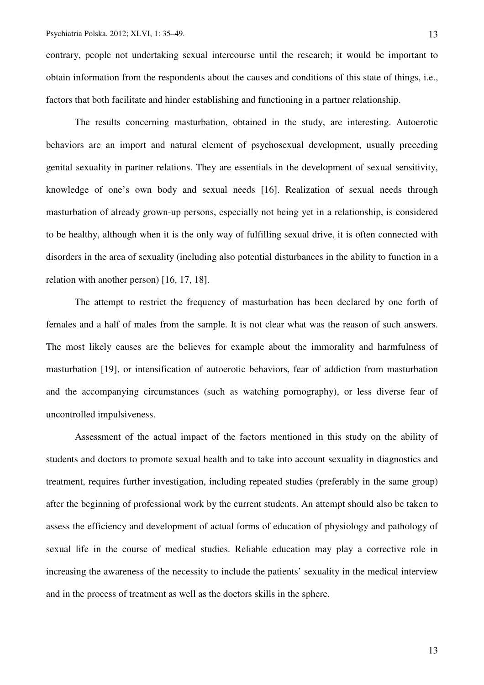contrary, people not undertaking sexual intercourse until the research; it would be important to obtain information from the respondents about the causes and conditions of this state of things, i.e., factors that both facilitate and hinder establishing and functioning in a partner relationship.

The results concerning masturbation, obtained in the study, are interesting. Autoerotic behaviors are an import and natural element of psychosexual development, usually preceding genital sexuality in partner relations. They are essentials in the development of sexual sensitivity, knowledge of one's own body and sexual needs [16]. Realization of sexual needs through masturbation of already grown-up persons, especially not being yet in a relationship, is considered to be healthy, although when it is the only way of fulfilling sexual drive, it is often connected with disorders in the area of sexuality (including also potential disturbances in the ability to function in a relation with another person) [16, 17, 18].

The attempt to restrict the frequency of masturbation has been declared by one forth of females and a half of males from the sample. It is not clear what was the reason of such answers. The most likely causes are the believes for example about the immorality and harmfulness of masturbation [19], or intensification of autoerotic behaviors, fear of addiction from masturbation and the accompanying circumstances (such as watching pornography), or less diverse fear of uncontrolled impulsiveness.

Assessment of the actual impact of the factors mentioned in this study on the ability of students and doctors to promote sexual health and to take into account sexuality in diagnostics and treatment, requires further investigation, including repeated studies (preferably in the same group) after the beginning of professional work by the current students. An attempt should also be taken to assess the efficiency and development of actual forms of education of physiology and pathology of sexual life in the course of medical studies. Reliable education may play a corrective role in increasing the awareness of the necessity to include the patients' sexuality in the medical interview and in the process of treatment as well as the doctors skills in the sphere.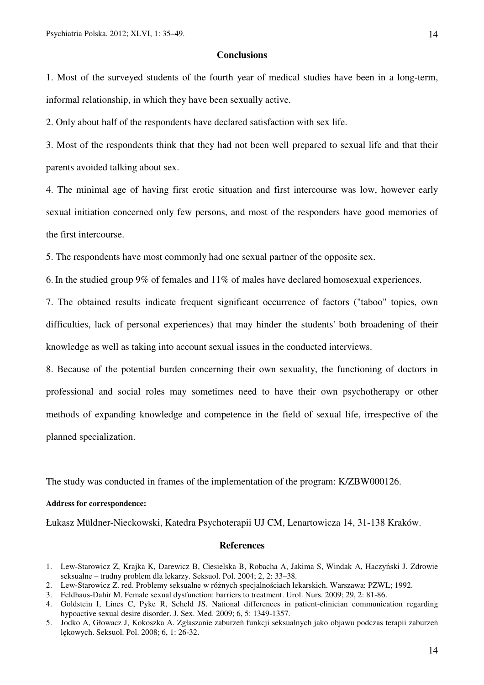### **Conclusions**

1. Most of the surveyed students of the fourth year of medical studies have been in a long-term, informal relationship, in which they have been sexually active.

2. Only about half of the respondents have declared satisfaction with sex life.

3. Most of the respondents think that they had not been well prepared to sexual life and that their parents avoided talking about sex.

4. The minimal age of having first erotic situation and first intercourse was low, however early sexual initiation concerned only few persons, and most of the responders have good memories of the first intercourse.

5. The respondents have most commonly had one sexual partner of the opposite sex.

6. In the studied group 9% of females and 11% of males have declared homosexual experiences.

7. The obtained results indicate frequent significant occurrence of factors ("taboo" topics, own difficulties, lack of personal experiences) that may hinder the students' both broadening of their knowledge as well as taking into account sexual issues in the conducted interviews.

8. Because of the potential burden concerning their own sexuality, the functioning of doctors in professional and social roles may sometimes need to have their own psychotherapy or other methods of expanding knowledge and competence in the field of sexual life, irrespective of the planned specialization.

The study was conducted in frames of the implementation of the program: K/ZBW000126.

# **Address for correspondence:**

Łukasz Müldner-Nieckowski, Katedra Psychoterapii UJ CM, Lenartowicza 14, 31-138 Kraków.

### **References**

- 2. Lew-Starowicz Z. red. Problemy seksualne w różnych specjalnościach lekarskich. Warszawa: PZWL; 1992.
- 3. Feldhaus-Dahir M. Female sexual dysfunction: barriers to treatment. Urol. Nurs. 2009; 29, 2: 81-86.

<sup>1.</sup> Lew-Starowicz Z, Krajka K, Darewicz B, Ciesielska B, Robacha A, Jakima S, Windak A, Haczyński J. Zdrowie seksualne – trudny problem dla lekarzy. Seksuol. Pol. 2004; 2, 2: 33–38.

<sup>4.</sup> Goldstein I, Lines C, Pyke R, Scheld JS. National differences in patient-clinician communication regarding hypoactive sexual desire disorder. J. Sex. Med. 2009; 6, 5: 1349-1357.

<sup>5.</sup> Jodko A, Głowacz J, Kokoszka A. Zgłaszanie zaburzeń funkcji seksualnych jako objawu podczas terapii zaburzeń lękowych. Seksuol. Pol. 2008; 6, 1: 26-32.